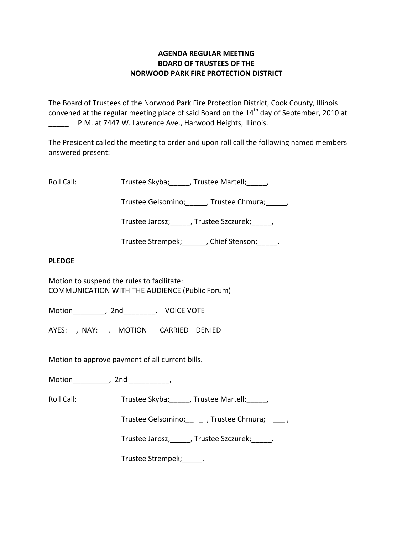# **AGENDA REGULAR MEETING BOARD OF TRUSTEES OF THE NORWOOD PARK FIRE PROTECTION DISTRICT**

The Board of Trustees of the Norwood Park Fire Protection District, Cook County, Illinois convened at the regular meeting place of said Board on the  $14<sup>th</sup>$  day of September, 2010 at P.M. at 7447 W. Lawrence Ave., Harwood Heights, Illinois.

The President called the meeting to order and upon roll call the following named members answered present:

Roll Call: Trustee Skyba; J. Trustee Martell; Trustee Martell;

Trustee Gelsomino; frustee Chmura;  $\qquad$ 

Trustee Jarosz; J. Trustee Szczurek; J.

Trustee Strempek; fight of Stenson; the Stenson;

# **PLEDGE**

Motion to suspend the rules to facilitate: COMMUNICATION WITH THE AUDIENCE (Public Forum)

Motion \_\_\_\_\_\_\_\_, 2nd \_\_\_\_\_\_\_\_. VOICE VOTE

AYES: NAY: MOTION CARRIED DENIED

Motion to approve payment of all current bills.

Motion\_\_\_\_\_\_\_\_\_, 2nd \_\_\_\_\_\_\_\_\_\_,

Roll Call: Trustee Skyba; J. Trustee Martell; Trustee Martell;

Trustee Gelsomino; \_\_\_\_\_, Trustee Chmura; \_\_\_\_\_\_,

Trustee Jarosz; Justee Szczurek; Latenberg

Trustee Strempek;\_\_\_\_\_.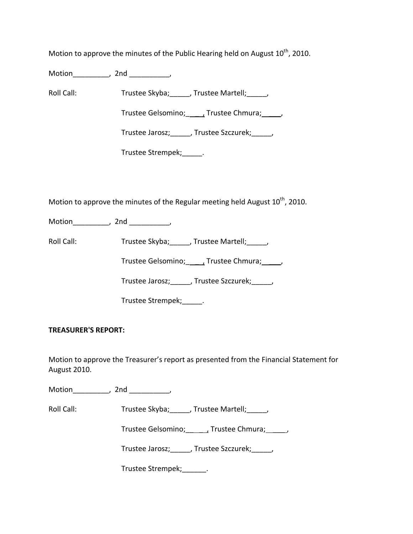Motion to approve the minutes of the Public Hearing held on August  $10^{th}$ , 2010.

Motion\_\_\_\_\_\_\_\_\_, 2nd \_\_\_\_\_\_\_\_\_\_,

Roll Call: Trustee Skyba; Trustee Martell; Trustee Martell;

Trustee Gelsomino; \_\_\_\_, Trustee Chmura; \_\_\_\_\_,

Trustee Jarosz;\_\_\_\_\_, Trustee Szczurek;\_\_\_\_\_,

Trustee Strempek; [100]

Motion to approve the minutes of the Regular meeting held August  $10^{th}$ , 2010.

Motion\_\_\_\_\_\_\_\_\_, 2nd \_\_\_\_\_\_\_\_\_\_,

Roll Call: Trustee Skyba; Trustee Martell;

Trustee Gelsomino; \_\_\_\_, Trustee Chmura; \_\_\_\_\_,

Trustee Jarosz;\_\_\_\_\_, Trustee Szczurek;\_\_\_\_\_,

Trustee Strempek; \_\_\_\_\_\_.

**TREASURER'S REPORT:**

Motion to approve the Treasurer's report as presented from the Financial Statement for August 2010.

Motion the contract of the contract of the contract of the contract of the contract of the contract of the contract of the contract of the contract of the contract of the contract of the contract of the contract of the con

Roll Call: Trustee Skyba; \_\_\_\_, Trustee Martell; \_\_\_\_\_,

Trustee Gelsomino; \_\_\_\_\_\_, Trustee Chmura; \_\_\_\_\_,

Trustee Jarosz; J. Trustee Szczurek; J.

Trustee Strempek;\_\_\_\_\_\_.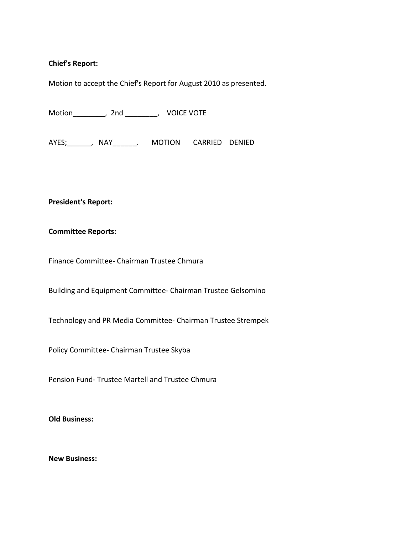### **Chief's Report:**

Motion to accept the Chief's Report for August 2010 as presented.

Motion\_\_\_\_\_\_\_\_, 2nd \_\_\_\_\_\_\_\_, VOICE VOTE

AYES;\_\_\_\_\_\_, NAY\_\_\_\_\_\_. MOTION CARRIED DENIED

### **President's Report:**

#### **Committee Reports:**

Finance Committee‐ Chairman Trustee Chmura

Building and Equipment Committee‐ Chairman Trustee Gelsomino

Technology and PR Media Committee‐ Chairman Trustee Strempek

Policy Committee‐ Chairman Trustee Skyba

Pension Fund‐ Trustee Martell and Trustee Chmura

**Old Business:**

**New Business:**